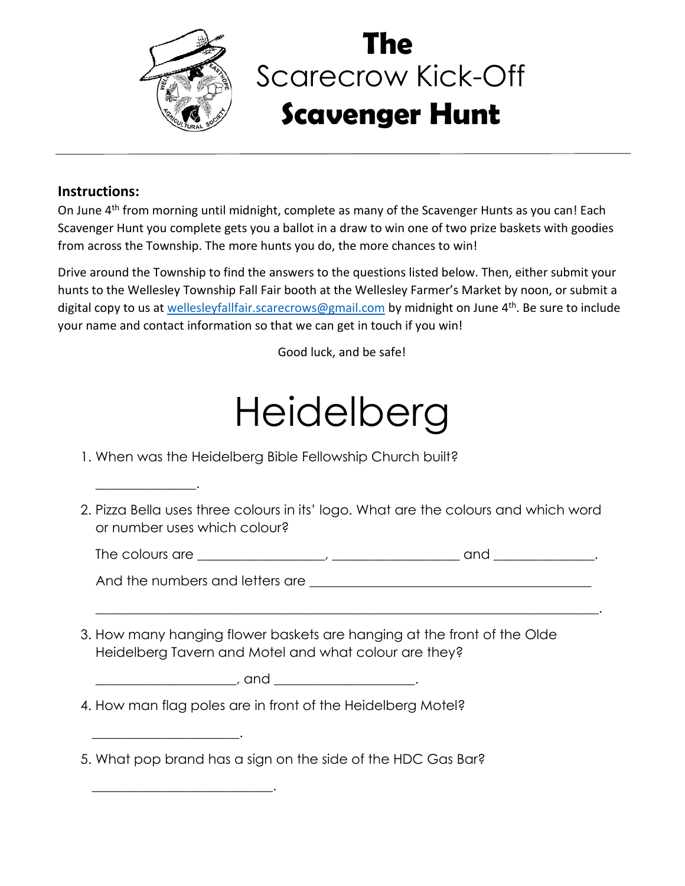

## Scarecrow Kick-Off **Scavenger Hunt The**

## **Instructions:**

 $\overline{\phantom{a}}$  . The contract of the contract of the contract of the contract of the contract of the contract of the contract of the contract of the contract of the contract of the contract of the contract of the contract of

 $\overline{\phantom{a}}$  , and the set of the set of the set of the set of the set of the set of the set of the set of the set of the set of the set of the set of the set of the set of the set of the set of the set of the set of the s

 $\overline{\phantom{a}}$  , and the set of the set of the set of the set of the set of the set of the set of the set of the set of the set of the set of the set of the set of the set of the set of the set of the set of the set of the s

On June 4<sup>th</sup> from morning until midnight, complete as many of the Scavenger Hunts as you can! Each Scavenger Hunt you complete gets you a ballot in a draw to win one of two prize baskets with goodies from across the Township. The more hunts you do, the more chances to win!

Drive around the Township to find the answers to the questions listed below. Then, either submit your hunts to the Wellesley Township Fall Fair booth at the Wellesley Farmer's Market by noon, or submit a digital copy to us at [wellesleyfallfair.scarecrows@gmail.com](mailto:wellesleyfallfair.scarecrows@gmail.com) by midnight on June 4<sup>th</sup>. Be sure to include your name and contact information so that we can get in touch if you win!

Good luck, and be safe!

## Heidelberg

- 1. When was the Heidelberg Bible Fellowship Church built?
- 2. Pizza Bella uses three colours in its' logo. What are the colours and which word or number uses which colour?

| - 1<br>$\sim$ r $\sim$<br><b>Irc</b><br>ıne<br>ור<br>╰ | <b></b> |
|--------------------------------------------------------|---------|
|--------------------------------------------------------|---------|

 $\frac{1}{2}$  ,  $\frac{1}{2}$  ,  $\frac{1}{2}$  ,  $\frac{1}{2}$  ,  $\frac{1}{2}$  ,  $\frac{1}{2}$  ,  $\frac{1}{2}$  ,  $\frac{1}{2}$  ,  $\frac{1}{2}$  ,  $\frac{1}{2}$  ,  $\frac{1}{2}$  ,  $\frac{1}{2}$  ,  $\frac{1}{2}$  ,  $\frac{1}{2}$  ,  $\frac{1}{2}$  ,  $\frac{1}{2}$  ,  $\frac{1}{2}$  ,  $\frac{1}{2}$  ,  $\frac{1$ 

And the numbers and letters are  $\Box$ 

3. How many hanging flower baskets are hanging at the front of the Olde Heidelberg Tavern and Motel and what colour are they?

| - |
|---|
|---|

- 4. How man flag poles are in front of the Heidelberg Motel?
- 5. What pop brand has a sign on the side of the HDC Gas Bar?